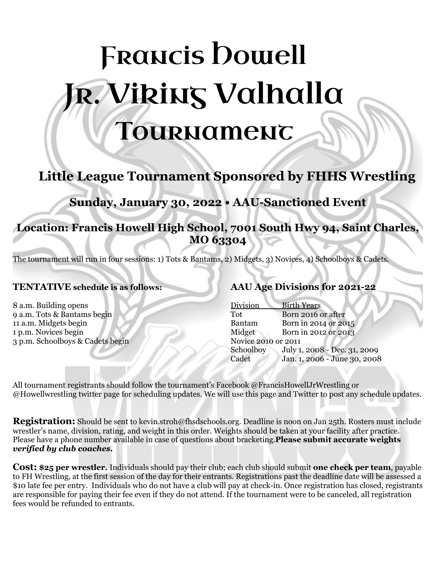# **FRANCIS Dowell** R. Viking Valhalla **Tournament**

# **Little League Tournament Sponsored by FHHS Wrestling**

# **Sunday, January 30, 2022 • AAU-Sanctioned Event**

# **Location: Francis Howell High School, 7001 South Hwy 94, Saint Charles, MO 63304**

The tournament will run in four sessions: 1) Tots & Bantams, 2) Midgets, 3) Novices, 4) Schoolboys & Cadets.

## **TENTATIVE schedule is as follows:**

 a.m. Building opens a.m. Tots & Bantams begin a.m. Midgets begin p.m. Novices begin p.m. Schoolboys & Cadets begin

# **AAU Age Divisions for 2021-22**

| <b>Birth Years</b>           |
|------------------------------|
| Born 2016 or after           |
| Born in 2014 or 2015         |
| Born in 2012 or 2013         |
| Novice 2010 or 2011          |
| July 1, 2008 - Dec. 31, 2009 |
| Jan. 1, 2006 - June 30, 2008 |
|                              |

All tournament registrants should follow the tournament's Facebook @FrancisHowellJrWrestling or @Howellwrestling twitter page for scheduling updates. We will use this page and Twitter to post any schedule updates.

**Registration:** Should be sent to kevin.stroh@fhsdschools.org. Deadline is noon on Jan 25th. Rosters must include wrestler's name, division, rating, and weight in this order. Weights should be taken at your facility after practice. Please have a phone number available in case of questions about bracketing.**Please submit accurate weights** *verified by club coaches***.**

**Cost: \$25 per wrestler.** Individuals should pay their club; each club should submit **one check per team**, payable to FH Wrestling, at the first session of the day for their entrants. Registrations past the deadline date will be assessed a \$10 late fee per entry. Individuals who do not have a club will pay at check-in. Once registration has closed, registrants are responsible for paying their fee even if they do not attend. If the tournament were to be canceled, all registration fees would be refunded to entrants.